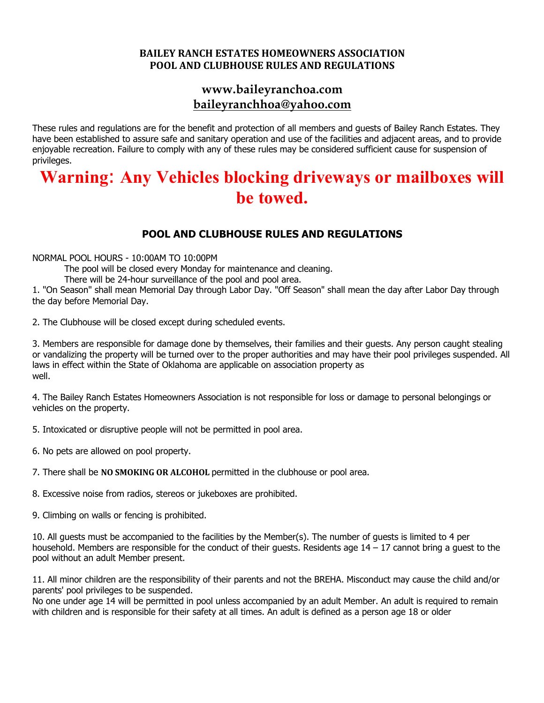## **BAILEY RANCH ESTATES HOMEOWNERS ASSOCIATION POOL AND CLUBHOUSE RULES AND REGULATIONS**

## **www.baileyranchoa.com baileyranchhoa@yahoo.com**

These rules and regulations are for the benefit and protection of all members and guests of Bailey Ranch Estates. They have been established to assure safe and sanitary operation and use of the facilities and adjacent areas, and to provide enjoyable recreation. Failure to comply with any of these rules may be considered sufficient cause for suspension of privileges.

## **Warning**: **Any Vehicles blocking driveways or mailboxes will be towed.**

## **POOL AND CLUBHOUSE RULES AND REGULATIONS**

NORMAL POOL HOURS - 10:00AM TO 10:00PM

The pool will be closed every Monday for maintenance and cleaning.

There will be 24-hour surveillance of the pool and pool area.

1. "On Season" shall mean Memorial Day through Labor Day. "Off Season" shall mean the day after Labor Day through the day before Memorial Day.

2. The Clubhouse will be closed except during scheduled events.

3. Members are responsible for damage done by themselves, their families and their guests. Any person caught stealing or vandalizing the property will be turned over to the proper authorities and may have their pool privileges suspended. All laws in effect within the State of Oklahoma are applicable on association property as well.

4. The Bailey Ranch Estates Homeowners Association is not responsible for loss or damage to personal belongings or vehicles on the property.

5. Intoxicated or disruptive people will not be permitted in pool area.

6. No pets are allowed on pool property.

7. There shall be NO SMOKING OR ALCOHOL permitted in the clubhouse or pool area.

8. Excessive noise from radios, stereos or jukeboxes are prohibited.

9. Climbing on walls or fencing is prohibited.

10. All guests must be accompanied to the facilities by the Member(s). The number of guests is limited to 4 per household. Members are responsible for the conduct of their quests. Residents age  $14 - 17$  cannot bring a quest to the pool without an adult Member present.

11. All minor children are the responsibility of their parents and not the BREHA. Misconduct may cause the child and/or parents' pool privileges to be suspended.

No one under age 14 will be permitted in pool unless accompanied by an adult Member. An adult is required to remain with children and is responsible for their safety at all times. An adult is defined as a person age 18 or older